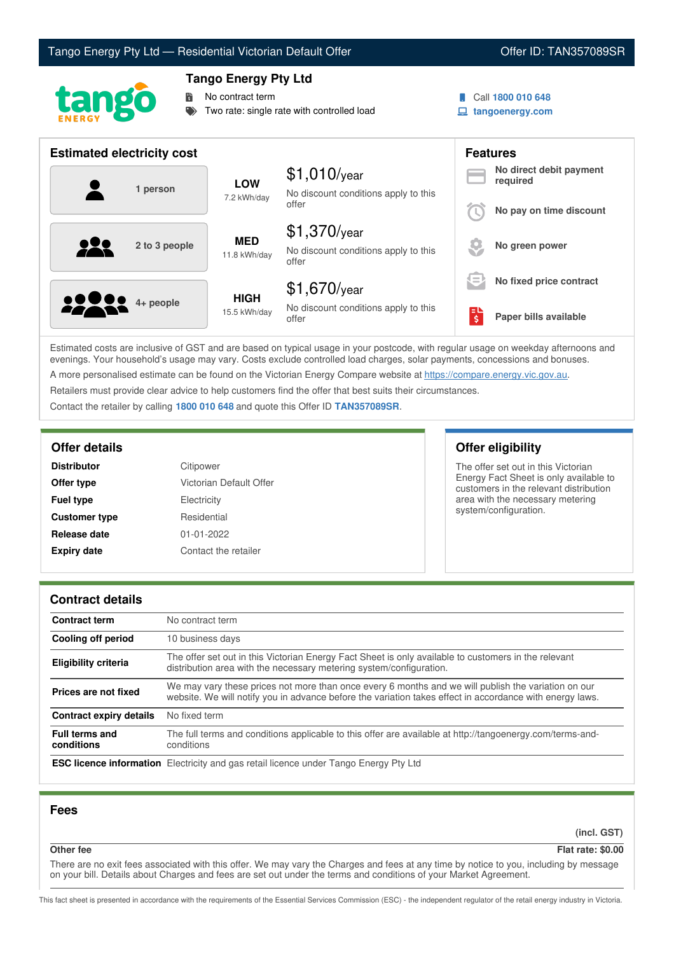# Tango Energy Pty Ltd — Residential Victorian Default Offer **Communist Communist Communist Communist Communist Communist Communist Communist Communist Communist Communist Communist Communist Communist Communist Communist Co**



## **Tango Energy Pty Ltd**

No contract term

Two rate: single rate with controlled load

- 
- Call **1800 010 648**
- **tangoenergy.com**

| <b>Estimated electricity cost</b> |                             |                                                                 |                                         | <b>Features</b>                     |
|-----------------------------------|-----------------------------|-----------------------------------------------------------------|-----------------------------------------|-------------------------------------|
| 1 person                          | <b>LOW</b><br>7.2 kWh/day   | $$1,010$ /year<br>No discount conditions apply to this          |                                         | No direct debit payment<br>required |
|                                   |                             | offer                                                           |                                         | No pay on time discount             |
| 929<br>2 to 3 people              | <b>MED</b><br>11.8 kWh/day  | $$1,370$ /year<br>No discount conditions apply to this<br>offer |                                         | No green power                      |
|                                   |                             | $$1,670$ /year                                                  | $\hspace{0.05cm} =$<br>$\hspace{0.1mm}$ | No fixed price contract             |
| <b>2000</b> 4+ people             | <b>HIGH</b><br>15.5 kWh/day | No discount conditions apply to this<br>offer                   | $\overline{\boldsymbol{\varsigma}}$     | Paper bills available               |

Estimated costs are inclusive of GST and are based on typical usage in your postcode, with regular usage on weekday afternoons and evenings. Your household's usage may vary. Costs exclude controlled load charges, solar payments, concessions and bonuses. A more personalised estimate can be found on the Victorian Energy Compare website at <https://compare.energy.vic.gov.au>.

Retailers must provide clear advice to help customers find the offer that best suits their circumstances.

Contact the retailer by calling **1800 010 648** and quote this Offer ID **TAN357089SR**.

| <b>Distributor</b>   | Citipower               |
|----------------------|-------------------------|
| Offer type           | Victorian Default Offer |
| <b>Fuel type</b>     | Electricity             |
| <b>Customer type</b> | Residential             |
| Release date         | $01 - 01 - 2022$        |
| <b>Expiry date</b>   | Contact the retailer    |

## **Offer details Offer eligibility**

The offer set out in this Victorian Energy Fact Sheet is only available to customers in the relevant distribution area with the necessary metering system/configuration.

## **Contract details**

| <b>Contract term</b>                | No contract term                                                                                                                                                                                                |  |
|-------------------------------------|-----------------------------------------------------------------------------------------------------------------------------------------------------------------------------------------------------------------|--|
| <b>Cooling off period</b>           | 10 business days                                                                                                                                                                                                |  |
| <b>Eligibility criteria</b>         | The offer set out in this Victorian Energy Fact Sheet is only available to customers in the relevant<br>distribution area with the necessary metering system/configuration.                                     |  |
| Prices are not fixed                | We may vary these prices not more than once every 6 months and we will publish the variation on our<br>website. We will notify you in advance before the variation takes effect in accordance with energy laws. |  |
| Contract expiry details             | No fixed term                                                                                                                                                                                                   |  |
| <b>Full terms and</b><br>conditions | The full terms and conditions applicable to this offer are available at http://tangoenergy.com/terms-and-<br>conditions                                                                                         |  |
|                                     | <b>ESC licence information</b> Electricity and gas retail licence under Tango Energy Pty Ltd                                                                                                                    |  |

## **Fees**

**(incl. GST)**

### **Other fee Flat rate: \$0.00**

There are no exit fees associated with this offer. We may vary the Charges and fees at any time by notice to you, including by message on your bill. Details about Charges and fees are set out under the terms and conditions of your Market Agreement.

This fact sheet is presented in accordance with the requirements of the Essential Services Commission (ESC) - the independent regulator of the retail energy industry in Victoria.